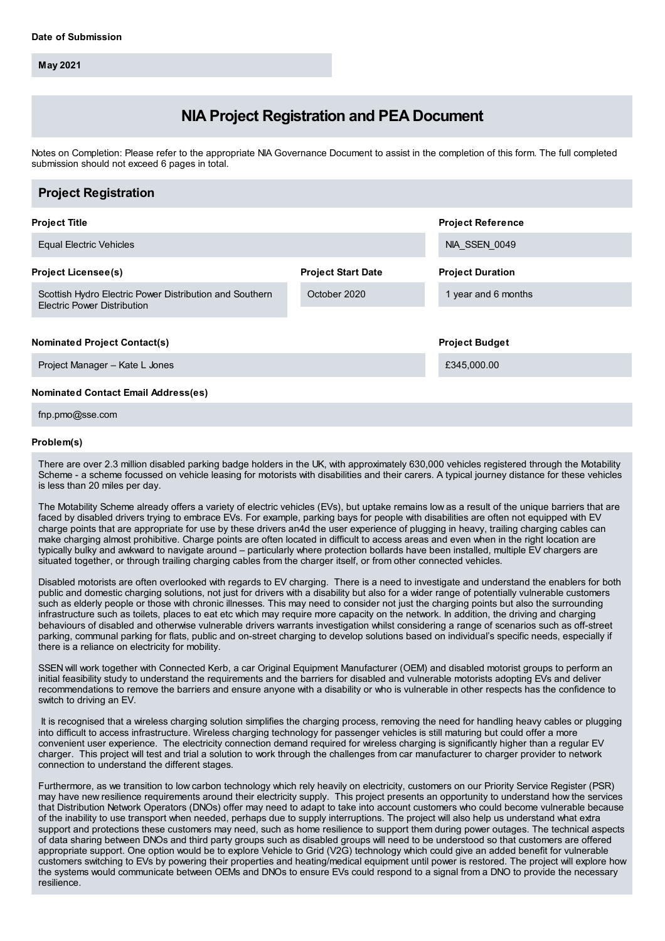**May 2021**

# **NIA Project Registration and PEA Document**

Notes on Completion: Please refer to the appropriate NIA Governance Document to assist in the completion of this form. The full completed submission should not exceed 6 pages in total.

| <b>Project Registration</b>                                                                   |                           |                          |
|-----------------------------------------------------------------------------------------------|---------------------------|--------------------------|
| <b>Project Title</b>                                                                          |                           | <b>Project Reference</b> |
| <b>Equal Electric Vehicles</b>                                                                |                           | NIA SSEN 0049            |
| <b>Project Licensee(s)</b>                                                                    | <b>Project Start Date</b> | <b>Project Duration</b>  |
| Scottish Hydro Electric Power Distribution and Southern<br><b>Electric Power Distribution</b> | October 2020              | 1 year and 6 months      |
|                                                                                               |                           |                          |
| <b>Nominated Project Contact(s)</b>                                                           |                           | <b>Project Budget</b>    |
| Project Manager - Kate L Jones                                                                |                           | £345,000.00              |
| <b>Nominated Contact Email Address(es)</b>                                                    |                           |                          |

fnp.pmo@sse.com

### **Problem(s)**

There are over 2.3 million disabled parking badge holders in the UK, with approximately 630,000 vehicles registered through the Motability Scheme - a scheme focussed on vehicle leasing for motorists with disabilities and their carers. A typical journey distance for these vehicles is less than 20 miles per day.

The Motability Scheme already offers a variety of electric vehicles (EVs), but uptake remains low as a result of the unique barriers that are faced by disabled drivers trying to embrace EVs. For example, parking bays for people with disabilities are often not equipped with EV charge points that are appropriate for use by these drivers an4d the user experience of plugging in heavy, trailing charging cables can make charging almost prohibitive. Charge points are often located in difficult to access areas and even when in the right location are typically bulky and awkward to navigate around – particularly where protection bollards have been installed, multiple EV chargers are situated together, or through trailing charging cables from the charger itself, or from other connected vehicles.

Disabled motorists are often overlooked with regards to EV charging. There is a need to investigate and understand the enablers for both public and domestic charging solutions, not just for drivers with a disability but also for a wider range of potentially vulnerable customers such as elderly people or those with chronic illnesses. This may need to consider not just the charging points but also the surrounding infrastructure such as toilets, places to eat etc which may require more capacity on the network. In addition, the driving and charging behaviours of disabled and otherwise vulnerable drivers warrants investigation whilst considering a range of scenarios such as off-street parking, communal parking for flats, public and on-street charging to develop solutions based on individual's specific needs, especially if there is a reliance on electricity for mobility.

SSEN will work together with Connected Kerb, a car Original Equipment Manufacturer (OEM) and disabled motorist groups to perform an initial feasibility study to understand the requirements and the barriers for disabled and vulnerable motorists adopting EVs and deliver recommendations to remove the barriers and ensure anyone with a disability or who is vulnerable in other respects has the confidence to switch to driving an EV.

It is recognised that a wireless charging solution simplifies the charging process, removing the need for handling heavy cables or plugging into difficult to access infrastructure. Wireless charging technology for passenger vehicles is still maturing but could offer a more convenient user experience. The electricity connection demand required for wireless charging is significantly higher than a regular EV charger. This project will test and trial a solution to work through the challenges from car manufacturer to charger provider to network connection to understand the different stages.

Furthermore, as we transition to low carbon technology which rely heavily on electricity, customers on our Priority Service Register (PSR) may have new resilience requirements around their electricity supply. This project presents an opportunity to understand how the services that Distribution Network Operators (DNOs) offer may need to adapt to take into account customers who could become vulnerable because of the inability to use transport when needed, perhaps due to supply interruptions. The project will also help us understand what extra support and protections these customers may need, such as home resilience to support them during power outages. The technical aspects of data sharing between DNOs and third party groups such as disabled groups will need to be understood so that customers are offered appropriate support. One option would be to explore Vehicle to Grid (V2G) technology which could give an added benefit for vulnerable customers switching to EVs by powering their properties and heating/medical equipment until power is restored. The project will explore how the systems would communicate between OEMs and DNOs to ensure EVs could respond to a signal from a DNO to provide the necessary resilience.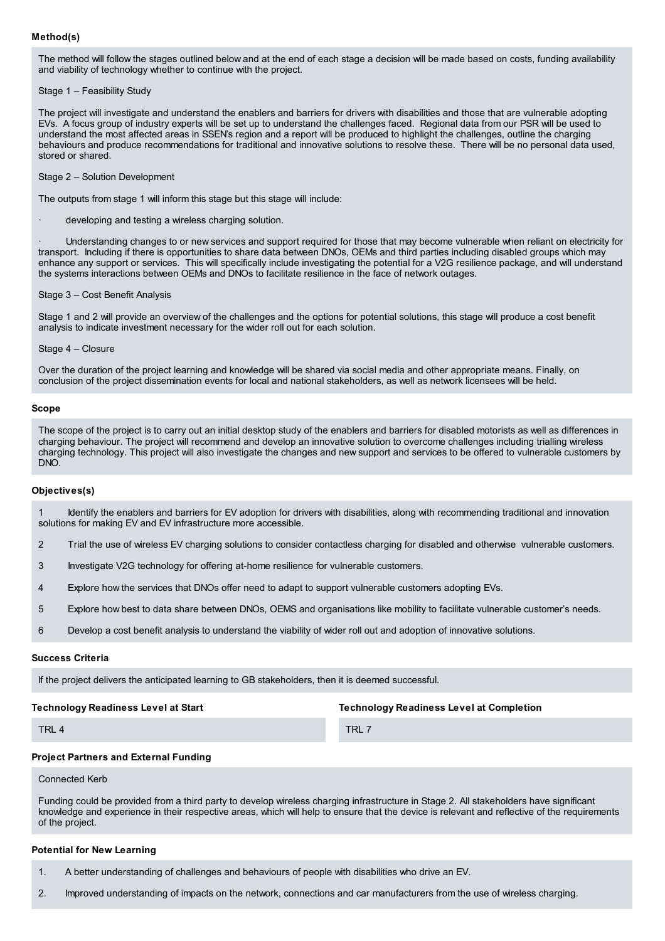# **Method(s)**

The method will follow the stages outlined below and at the end of each stage a decision will be made based on costs, funding availability and viability of technology whether to continue with the project.

# Stage 1 – Feasibility Study

The project will investigate and understand the enablers and barriers for drivers with disabilities and those that are vulnerable adopting EVs. A focus group of industry experts will be set up to understand the challenges faced. Regional data from our PSR will be used to understand the most affected areas in SSEN's region and a report will be produced to highlight the challenges, outline the charging behaviours and produce recommendations for traditional and innovative solutions to resolve these. There will be no personal data used, stored or shared.

Stage 2 – Solution Development

The outputs from stage 1 will inform this stage but this stage will include:

developing and testing a wireless charging solution.

· Understanding changes to or new services and support required for those that may become vulnerable when reliant on electricity for transport. Including if there is opportunities to share data between DNOs, OEMs and third parties including disabled groups which may enhance any support or services. This will specifically include investigating the potential for a V2G resilience package, and will understand the systems interactions between OEMs and DNOs to facilitate resilience in the face of network outages.

### Stage 3 – Cost Benefit Analysis

Stage 1 and 2 will provide an overview of the challenges and the options for potential solutions, this stage will produce a cost benefit analysis to indicate investment necessary for the wider roll out for each solution.

Stage 4 – Closure

Over the duration of the project learning and knowledge will be shared via social media and other appropriate means. Finally, on conclusion of the project dissemination events for local and national stakeholders, as well as network licensees will be held.

# **Scope**

The scope of the project is to carry out an initial desktop study of the enablers and barriers for disabled motorists as well as differences in charging behaviour. The project will recommend and develop an innovative solution to overcome challenges including trialling wireless charging technology. This project will also investigate the changes and new support and services to be offered to vulnerable customers by DNO.

### **Objectives(s)**

1 Identify the enablers and barriers for EV adoption for drivers with disabilities, along with recommending traditional and innovation solutions for making EV and EV infrastructure more accessible.

- 2 Trial the use of wireless EV charging solutions to consider contactless charging for disabled and otherwise vulnerable customers.
- 3 Investigate V2G technology for offering at-home resilience for vulnerable customers.
- 4 Explore how the services that DNOs offer need to adapt to support vulnerable customers adopting EVs.
- 5 Explore how best to data share between DNOs, OEMS and organisations like mobility to facilitate vulnerable customer's needs.
- 6 Develop a cost benefit analysis to understand the viability of wider roll out and adoption of innovative solutions.

### **Success Criteria**

If the project delivers the anticipated learning to GB stakeholders, then it is deemed successful.

# **Technology Readiness Level at Start**

**Technology Readiness Level at Completion**

TRL 4

TRL 7

### **Project Partners and External Funding**

Connected Kerb

Funding could be provided from a third party to develop wireless charging infrastructure in Stage 2. All stakeholders have significant knowledge and experience in their respective areas, which will help to ensure that the device is relevant and reflective of the requirements of the project.

## **Potential for New Learning**

1. A better understanding of challenges and behaviours of people with disabilities who drive an EV.

2. Improved understanding of impacts on the network, connections and car manufacturers from the use of wireless charging.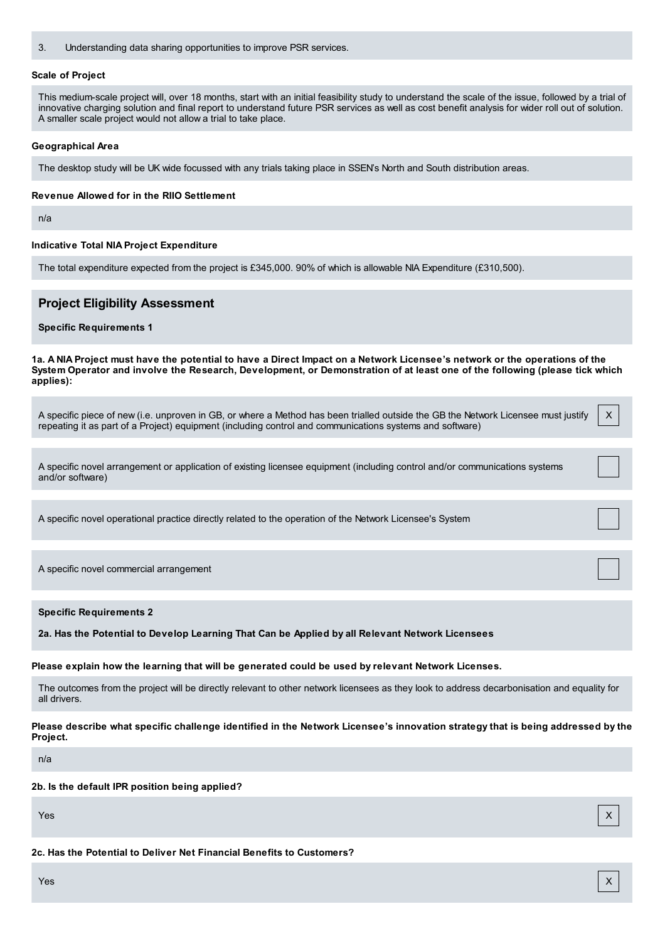3. Understanding data sharing opportunities to improve PSR services.

### **Scale of Project**

This medium-scale project will, over 18 months, start with an initial feasibility study to understand the scale of the issue, followed by a trial of innovative charging solution and final report to understand future PSR services as well as cost benefit analysis for wider roll out of solution. A smaller scale project would not allow a trial to take place.

### **Geographical Area**

The desktop study will be UK wide focussed with any trials taking place in SSEN's North and South distribution areas.

#### **Revenue Allowed for in the RIIO Settlement**

n/a

# **Indicative Total NIA Project Expenditure**

The total expenditure expected from the project is £345,000. 90% of which is allowable NIA Expenditure (£310,500).

# **Project Eligibility Assessment**

# **Specific Requirements 1**

1a. A NIA Project must have the potential to have a Direct Impact on a Network Licensee's network or the operations of the System Operator and involve the Research, Development, or Demonstration of at least one of the following (please tick which **applies):**

| A specific piece of new (i.e. unproven in GB, or where a Method has been trialled outside the GB the Network Licensee must justify | X |  |
|------------------------------------------------------------------------------------------------------------------------------------|---|--|
| repeating it as part of a Project) equipment (including control and communications systems and software)                           |   |  |

A specific novel arrangement or application of existing licensee equipment (including control and/or communications systems and/or software)

A specific novel operational practice directly related to the operation of the Network Licensee's System

A specific novel commercial arrangement

### **Specific Requirements 2**

**2a. Has the Potential to Develop Learning That Can be Applied by all Relevant Network Licensees**

**Please explain how the learning that will be generated could be used by relevant Network Licenses.**

The outcomes from the project will be directly relevant to other network licensees as they look to address decarbonisation and equality for all drivers.

Please describe what specific challenge identified in the Network Licensee's innovation strategy that is being addressed by the **Project.**

n/a

**2b. Is the default IPR position being applied?**

Yes X

**2c. Has the Potential to Deliver Net Financial Benefits to Customers?**